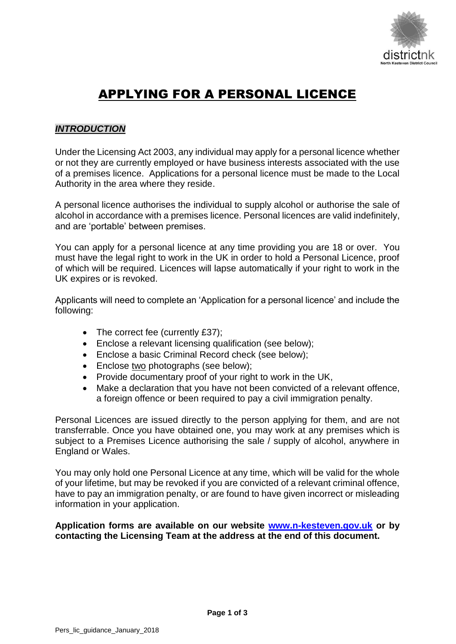

# APPLYING FOR A PERSONAL LICENCE

## *INTRODUCTION*

Under the Licensing Act 2003, any individual may apply for a personal licence whether or not they are currently employed or have business interests associated with the use of a premises licence. Applications for a personal licence must be made to the Local Authority in the area where they reside.

A personal licence authorises the individual to supply alcohol or authorise the sale of alcohol in accordance with a premises licence. Personal licences are valid indefinitely, and are 'portable' between premises.

You can apply for a personal licence at any time providing you are 18 or over. You must have the legal right to work in the UK in order to hold a Personal Licence, proof of which will be required. Licences will lapse automatically if your right to work in the UK expires or is revoked.

Applicants will need to complete an 'Application for a personal licence' and include the following:

- The correct fee (currently £37);
- Enclose a relevant licensing qualification (see below);
- Enclose a basic Criminal Record check (see below);
- Enclose two photographs (see below);
- Provide documentary proof of your right to work in the UK,
- Make a declaration that you have not been convicted of a relevant offence, a foreign offence or been required to pay a civil immigration penalty.

Personal Licences are issued directly to the person applying for them, and are not transferrable. Once you have obtained one, you may work at any premises which is subject to a Premises Licence authorising the sale / supply of alcohol, anywhere in England or Wales.

You may only hold one Personal Licence at any time, which will be valid for the whole of your lifetime, but may be revoked if you are convicted of a relevant criminal offence, have to pay an immigration penalty, or are found to have given incorrect or misleading information in your application.

## **Application forms are available on our website [www.n-kesteven.gov.uk](http://www.n-kesteven.gov.uk/) or by contacting the Licensing Team at the address at the end of this document.**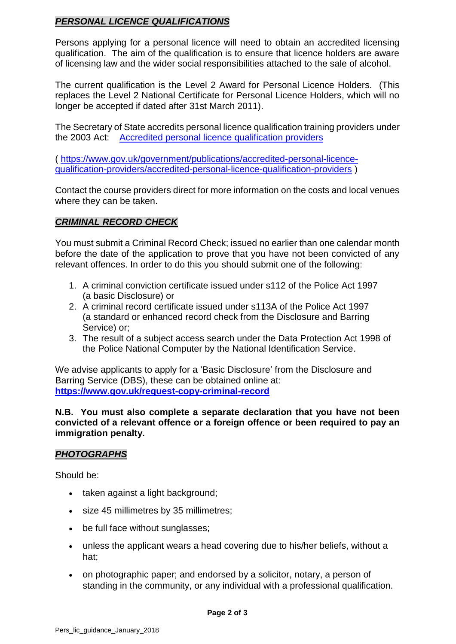## *PERSONAL LICENCE QUALIFICATIONS*

Persons applying for a personal licence will need to obtain an accredited licensing qualification. The aim of the qualification is to ensure that licence holders are aware of licensing law and the wider social responsibilities attached to the sale of alcohol.

The current qualification is the Level 2 Award for Personal Licence Holders. (This replaces the Level 2 National Certificate for Personal Licence Holders, which will no longer be accepted if dated after 31st March 2011).

The Secretary of State accredits personal licence qualification training providers under the 2003 Act: [Accredited personal licence qualification providers](https://www.gov.uk/government/publications/accredited-personal-licence-qualification-providers/accredited-personal-licence-qualification-providers)

( [https://www.gov.uk/government/publications/accredited-personal-licence](https://www.gov.uk/government/publications/accredited-personal-licence-qualification-providers/accredited-personal-licence-qualification-providers)[qualification-providers/accredited-personal-licence-qualification-providers](https://www.gov.uk/government/publications/accredited-personal-licence-qualification-providers/accredited-personal-licence-qualification-providers) )

Contact the course providers direct for more information on the costs and local venues where they can be taken.

# *CRIMINAL RECORD CHECK*

You must submit a Criminal Record Check; issued no earlier than one calendar month before the date of the application to prove that you have not been convicted of any relevant offences. In order to do this you should submit one of the following:

- 1. A criminal conviction certificate issued under s112 of the Police Act 1997 (a basic Disclosure) or
- 2. A criminal record certificate issued under s113A of the Police Act 1997 (a standard or enhanced record check from the Disclosure and Barring Service) or;
- 3. The result of a subject access search under the Data Protection Act 1998 of the Police National Computer by the National Identification Service.

We advise applicants to apply for a 'Basic Disclosure' from the Disclosure and Barring Service (DBS), these can be obtained online at: **<https://www.gov.uk/request-copy-criminal-record>**

**N.B. You must also complete a separate declaration that you have not been convicted of a relevant offence or a foreign offence or been required to pay an immigration penalty.**

## *PHOTOGRAPHS*

Should be:

- taken against a light background;
- size 45 millimetres by 35 millimetres;
- be full face without sunglasses;
- unless the applicant wears a head covering due to his/her beliefs, without a hat;
- on photographic paper; and endorsed by a solicitor, notary, a person of standing in the community, or any individual with a professional qualification.